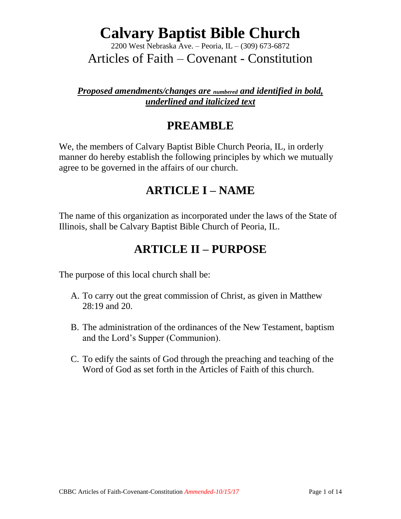2200 West Nebraska Ave. – Peoria, IL – (309) 673-6872

Articles of Faith – Covenant - Constitution

#### *Proposed amendments/changes are numbered and identified in bold, underlined and italicized text*

### **PREAMBLE**

We, the members of Calvary Baptist Bible Church Peoria, IL, in orderly manner do hereby establish the following principles by which we mutually agree to be governed in the affairs of our church.

#### **ARTICLE I – NAME**

The name of this organization as incorporated under the laws of the State of Illinois, shall be Calvary Baptist Bible Church of Peoria, IL.

### **ARTICLE II – PURPOSE**

The purpose of this local church shall be:

- A. To carry out the great commission of Christ, as given in Matthew 28:19 and 20.
- B. The administration of the ordinances of the New Testament, baptism and the Lord's Supper (Communion).
- C. To edify the saints of God through the preaching and teaching of the Word of God as set forth in the Articles of Faith of this church.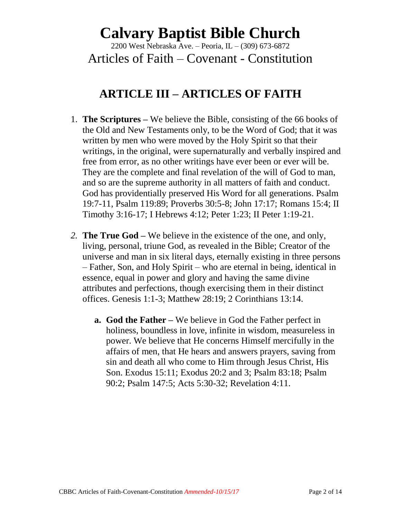2200 West Nebraska Ave. – Peoria, IL – (309) 673-6872

Articles of Faith – Covenant - Constitution

#### **ARTICLE III – ARTICLES OF FAITH**

- 1. **The Scriptures –** We believe the Bible, consisting of the 66 books of the Old and New Testaments only, to be the Word of God; that it was written by men who were moved by the Holy Spirit so that their writings, in the original, were supernaturally and verbally inspired and free from error, as no other writings have ever been or ever will be. They are the complete and final revelation of the will of God to man, and so are the supreme authority in all matters of faith and conduct. God has providentially preserved His Word for all generations. Psalm 19:7-11, Psalm 119:89; Proverbs 30:5-8; John 17:17; Romans 15:4; II Timothy 3:16-17; I Hebrews 4:12; Peter 1:23; II Peter 1:19-21.
- *2.* **The True God –** We believe in the existence of the one, and only, living, personal, triune God, as revealed in the Bible; Creator of the universe and man in six literal days, eternally existing in three persons – Father, Son, and Holy Spirit – who are eternal in being, identical in essence, equal in power and glory and having the same divine attributes and perfections, though exercising them in their distinct offices. Genesis 1:1-3; Matthew 28:19; 2 Corinthians 13:14.
	- **a. God the Father –** We believe in God the Father perfect in holiness, boundless in love, infinite in wisdom, measureless in power. We believe that He concerns Himself mercifully in the affairs of men, that He hears and answers prayers, saving from sin and death all who come to Him through Jesus Christ, His Son. Exodus 15:11; Exodus 20:2 and 3; Psalm 83:18; Psalm 90:2; Psalm 147:5; Acts 5:30-32; Revelation 4:11.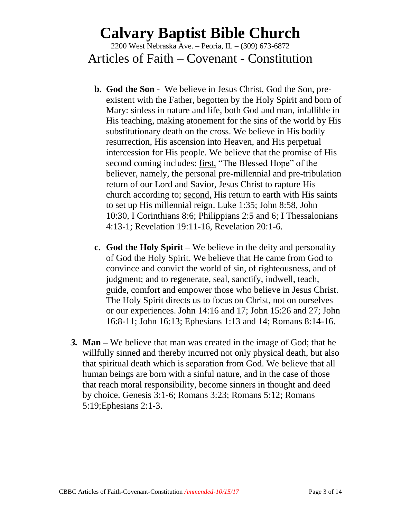2200 West Nebraska Ave. – Peoria, IL – (309) 673-6872

Articles of Faith – Covenant - Constitution

- **b. God the Son -** We believe in Jesus Christ, God the Son, preexistent with the Father, begotten by the Holy Spirit and born of Mary: sinless in nature and life, both God and man*,* infallible in His teaching, making atonement for the sins of the world by His substitutionary death on the cross. We believe in His bodily resurrection, His ascension into Heaven, and His perpetual intercession for His people. We believe that the promise of His second coming includes: first, "The Blessed Hope" of the believer, namely, the personal pre-millennial and pre-tribulation return of our Lord and Savior, Jesus Christ to rapture His church according to; second, His return to earth with His saints to set up His millennial reign. Luke 1:35; John 8:58, John 10:30, I Corinthians 8:6; Philippians 2:5 and 6; I Thessalonians 4:13-1; Revelation 19:11-16, Revelation 20:1-6.
- **c. God the Holy Spirit –** We believe in the deity and personality of God the Holy Spirit. We believe that He came from God to convince and convict the world of sin, of righteousness, and of judgment; and to regenerate, seal, sanctify, indwell, teach, guide, comfort and empower those who believe in Jesus Christ. The Holy Spirit directs us to focus on Christ, not on ourselves or our experiences. John 14:16 and 17; John 15:26 and 27; John 16:8-11; John 16:13; Ephesians 1:13 and 14; Romans 8:14-16.
- *3.* **Man –** We believe that man was created in the image of God; that he willfully sinned and thereby incurred not only physical death, but also that spiritual death which is separation from God. We believe that all human beings are born with a sinful nature, and in the case of those that reach moral responsibility, become sinners in thought and deed by choice. Genesis 3:1-6; Romans 3:23; Romans 5:12; Romans 5:19;Ephesians 2:1-3.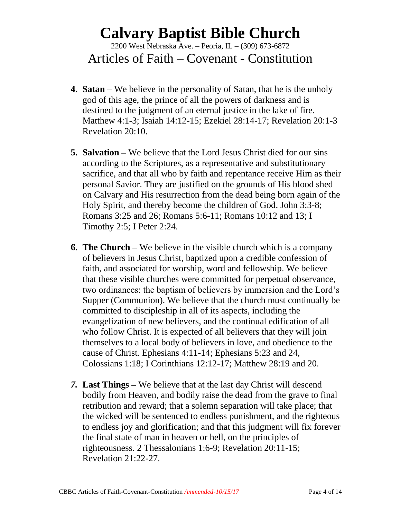2200 West Nebraska Ave. – Peoria, IL – (309) 673-6872 Articles of Faith – Covenant - Constitution

- **4. Satan –** We believe in the personality of Satan, that he is the unholy god of this age, the prince of all the powers of darkness and is destined to the judgment of an eternal justice in the lake of fire. Matthew 4:1-3; Isaiah 14:12-15; Ezekiel 28:14-17; Revelation 20:1-3 Revelation 20:10.
- **5. Salvation –** We believe that the Lord Jesus Christ died for our sins according to the Scriptures, as a representative and substitutionary sacrifice, and that all who by faith and repentance receive Him as their personal Savior. They are justified on the grounds of His blood shed on Calvary and His resurrection from the dead being born again of the Holy Spirit, and thereby become the children of God. John 3:3-8; Romans 3:25 and 26; Romans 5:6-11; Romans 10:12 and 13; I Timothy 2:5; I Peter 2:24.
- **6. The Church –** We believe in the visible church which is a company of believers in Jesus Christ, baptized upon a credible confession of faith, and associated for worship, word and fellowship. We believe that these visible churches were committed for perpetual observance, two ordinances: the baptism of believers by immersion and the Lord's Supper (Communion). We believe that the church must continually be committed to discipleship in all of its aspects, including the evangelization of new believers, and the continual edification of all who follow Christ. It is expected of all believers that they will join themselves to a local body of believers in love, and obedience to the cause of Christ. Ephesians 4:11-14; Ephesians 5:23 and 24, Colossians 1:18; I Corinthians 12:12-17; Matthew 28:19 and 20.
- *7.* **Last Things –** We believe that at the last day Christ will descend bodily from Heaven, and bodily raise the dead from the grave to final retribution and reward; that a solemn separation will take place; that the wicked will be sentenced to endless punishment, and the righteous to endless joy and glorification; and that this judgment will fix forever the final state of man in heaven or hell, on the principles of righteousness. 2 Thessalonians 1:6-9; Revelation 20:11-15; Revelation 21:22-27.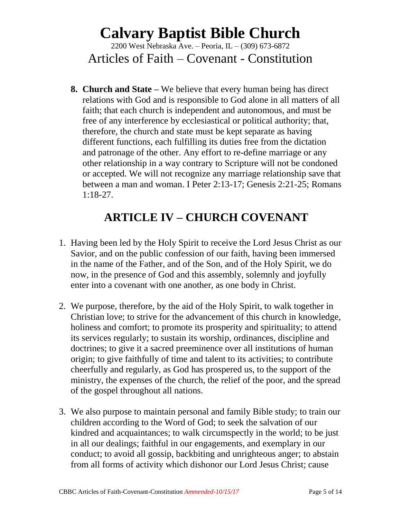2200 West Nebraska Ave. – Peoria, IL – (309) 673-6872 Articles of Faith – Covenant - Constitution

**8. Church and State –** We believe that every human being has direct relations with God and is responsible to God alone in all matters of all faith; that each church is independent and autonomous, and must be free of any interference by ecclesiastical or political authority; that, therefore, the church and state must be kept separate as having different functions, each fulfilling its duties free from the dictation and patronage of the other. Any effort to re-define marriage or any other relationship in a way contrary to Scripture will not be condoned or accepted. We will not recognize any marriage relationship save that between a man and woman. I Peter 2:13-17; Genesis 2:21-25; Romans 1:18-27.

### **ARTICLE IV – CHURCH COVENANT**

- 1. Having been led by the Holy Spirit to receive the Lord Jesus Christ as our Savior, and on the public confession of our faith, having been immersed in the name of the Father, and of the Son, and of the Holy Spirit, we do now, in the presence of God and this assembly, solemnly and joyfully enter into a covenant with one another, as one body in Christ.
- 2. We purpose, therefore, by the aid of the Holy Spirit, to walk together in Christian love; to strive for the advancement of this church in knowledge, holiness and comfort; to promote its prosperity and spirituality; to attend its services regularly; to sustain its worship, ordinances, discipline and doctrines; to give it a sacred preeminence over all institutions of human origin; to give faithfully of time and talent to its activities; to contribute cheerfully and regularly, as God has prospered us, to the support of the ministry, the expenses of the church, the relief of the poor, and the spread of the gospel throughout all nations.
- 3. We also purpose to maintain personal and family Bible study; to train our children according to the Word of God; to seek the salvation of our kindred and acquaintances; to walk circumspectly in the world; to be just in all our dealings; faithful in our engagements, and exemplary in our conduct; to avoid all gossip, backbiting and unrighteous anger; to abstain from all forms of activity which dishonor our Lord Jesus Christ; cause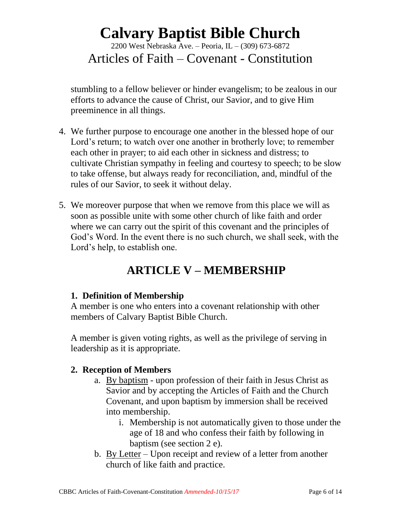2200 West Nebraska Ave. – Peoria, IL – (309) 673-6872 Articles of Faith – Covenant - Constitution

stumbling to a fellow believer or hinder evangelism; to be zealous in our efforts to advance the cause of Christ, our Savior, and to give Him preeminence in all things.

- 4. We further purpose to encourage one another in the blessed hope of our Lord's return; to watch over one another in brotherly love; to remember each other in prayer; to aid each other in sickness and distress; to cultivate Christian sympathy in feeling and courtesy to speech; to be slow to take offense, but always ready for reconciliation, and, mindful of the rules of our Savior, to seek it without delay.
- 5. We moreover purpose that when we remove from this place we will as soon as possible unite with some other church of like faith and order where we can carry out the spirit of this covenant and the principles of God's Word. In the event there is no such church, we shall seek, with the Lord's help, to establish one.

### **ARTICLE V – MEMBERSHIP**

#### **1. Definition of Membership**

A member is one who enters into a covenant relationship with other members of Calvary Baptist Bible Church.

A member is given voting rights, as well as the privilege of serving in leadership as it is appropriate.

#### **2. Reception of Members**

- a. By baptism upon profession of their faith in Jesus Christ as Savior and by accepting the Articles of Faith and the Church Covenant, and upon baptism by immersion shall be received into membership.
	- i. Membership is not automatically given to those under the age of 18 and who confess their faith by following in baptism (see section 2 e).
- b. By Letter Upon receipt and review of a letter from another church of like faith and practice.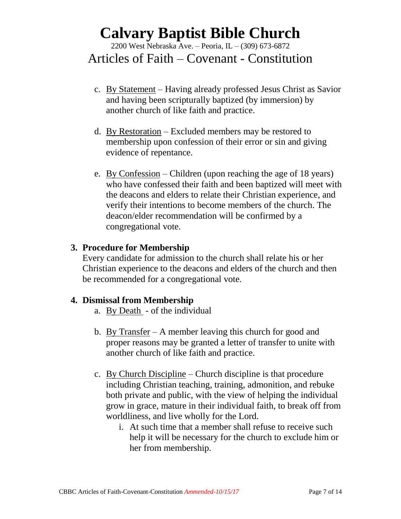2200 West Nebraska Ave. – Peoria, IL – (309) 673-6872

#### Articles of Faith – Covenant - Constitution

- c. By Statement Having already professed Jesus Christ as Savior and having been scripturally baptized (by immersion) by another church of like faith and practice.
- d. By Restoration Excluded members may be restored to membership upon confession of their error or sin and giving evidence of repentance.
- e. By Confession Children (upon reaching the age of 18 years) who have confessed their faith and been baptized will meet with the deacons and elders to relate their Christian experience, and verify their intentions to become members of the church. The deacon/elder recommendation will be confirmed by a congregational vote.

#### **3. Procedure for Membership**

Every candidate for admission to the church shall relate his or her Christian experience to the deacons and elders of the church and then be recommended for a congregational vote.

#### **4. Dismissal from Membership**

- a. By Death of the individual
- b. By Transfer A member leaving this church for good and proper reasons may be granted a letter of transfer to unite with another church of like faith and practice.
- c. By Church Discipline Church discipline is that procedure including Christian teaching, training, admonition, and rebuke both private and public, with the view of helping the individual grow in grace, mature in their individual faith, to break off from worldliness, and live wholly for the Lord.
	- i. At such time that a member shall refuse to receive such help it will be necessary for the church to exclude him or her from membership.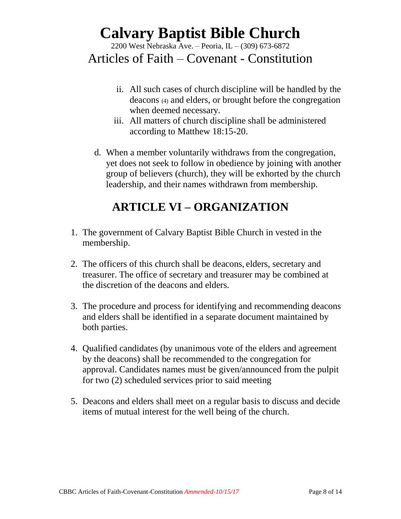2200 West Nebraska Ave. – Peoria, IL – (309) 673-6872

### Articles of Faith – Covenant - Constitution

- ii. All such cases of church discipline will be handled by the deacons (4) and elders, or brought before the congregation when deemed necessary.
- iii. All matters of church discipline shall be administered according to Matthew 18:15-20.
- d. When a member voluntarily withdraws from the congregation, yet does not seek to follow in obedience by joining with another group of believers (church), they will be exhorted by the church leadership, and their names withdrawn from membership.

### **ARTICLE VI – ORGANIZATION**

- 1. The government of Calvary Baptist Bible Church in vested in the membership.
- 2. The officers of this church shall be deacons, elders, secretary and treasurer. The office of secretary and treasurer may be combined at the discretion of the deacons and elders.
- 3. The procedure and process for identifying and recommending deacons and elders shall be identified in a separate document maintained by both parties.
- 4. Qualified candidates (by unanimous vote of the elders and agreement by the deacons) shall be recommended to the congregation for approval. Candidates names must be given/announced from the pulpit for two (2) scheduled services prior to said meeting
- 5. Deacons and elders shall meet on a regular basis to discuss and decide items of mutual interest for the well being of the church.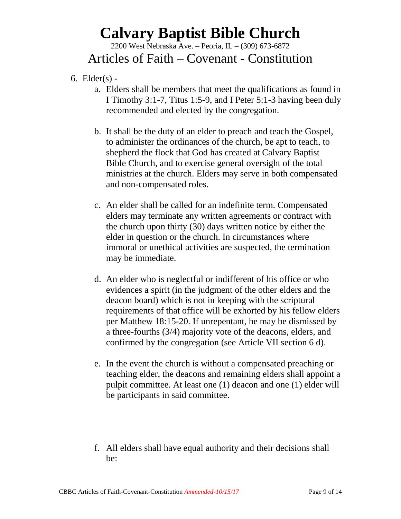2200 West Nebraska Ave. – Peoria, IL – (309) 673-6872

### Articles of Faith – Covenant - Constitution

- 6. Elder $(s)$ 
	- a. Elders shall be members that meet the qualifications as found in I Timothy 3:1-7, Titus 1:5-9, and I Peter 5:1-3 having been duly recommended and elected by the congregation.
	- b. It shall be the duty of an elder to preach and teach the Gospel, to administer the ordinances of the church, be apt to teach, to shepherd the flock that God has created at Calvary Baptist Bible Church, and to exercise general oversight of the total ministries at the church. Elders may serve in both compensated and non-compensated roles.
	- c. An elder shall be called for an indefinite term. Compensated elders may terminate any written agreements or contract with the church upon thirty (30) days written notice by either the elder in question or the church. In circumstances where immoral or unethical activities are suspected, the termination may be immediate.
	- d. An elder who is neglectful or indifferent of his office or who evidences a spirit (in the judgment of the other elders and the deacon board) which is not in keeping with the scriptural requirements of that office will be exhorted by his fellow elders per Matthew 18:15-20. If unrepentant, he may be dismissed by a three-fourths (3/4) majority vote of the deacons, elders, and confirmed by the congregation (see Article VII section 6 d).
	- e. In the event the church is without a compensated preaching or teaching elder, the deacons and remaining elders shall appoint a pulpit committee. At least one (1) deacon and one (1) elder will be participants in said committee.
	- f. All elders shall have equal authority and their decisions shall be: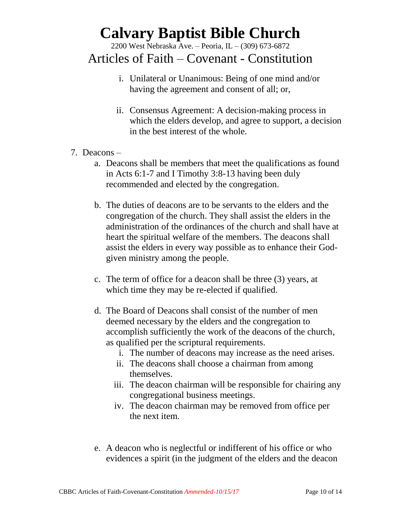2200 West Nebraska Ave. – Peoria, IL – (309) 673-6872

#### Articles of Faith – Covenant - Constitution

- i. Unilateral or Unanimous: Being of one mind and/or having the agreement and consent of all; or,
- ii. Consensus Agreement: A decision-making process in which the elders develop, and agree to support, a decision in the best interest of the whole.
- 7. Deacons
	- a. Deacons shall be members that meet the qualifications as found in Acts 6:1-7 and I Timothy 3:8-13 having been duly recommended and elected by the congregation.
	- b. The duties of deacons are to be servants to the elders and the congregation of the church. They shall assist the elders in the administration of the ordinances of the church and shall have at heart the spiritual welfare of the members. The deacons shall assist the elders in every way possible as to enhance their Godgiven ministry among the people.
	- c. The term of office for a deacon shall be three (3) years, at which time they may be re-elected if qualified.
	- d. The Board of Deacons shall consist of the number of men deemed necessary by the elders and the congregation to accomplish sufficiently the work of the deacons of the church, as qualified per the scriptural requirements.
		- i. The number of deacons may increase as the need arises.
		- ii. The deacons shall choose a chairman from among themselves.
		- iii. The deacon chairman will be responsible for chairing any congregational business meetings.
		- iv. The deacon chairman may be removed from office per the next item.
	- e. A deacon who is neglectful or indifferent of his office or who evidences a spirit (in the judgment of the elders and the deacon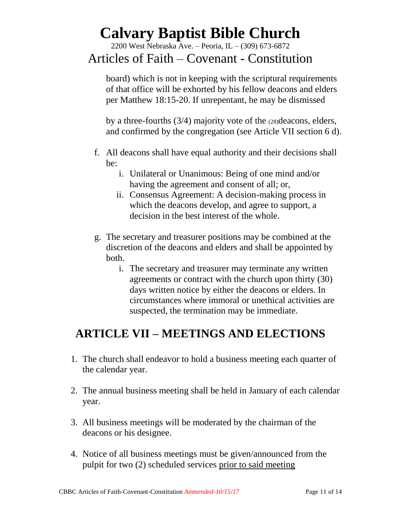2200 West Nebraska Ave. – Peoria, IL – (309) 673-6872

#### Articles of Faith – Covenant - Constitution

board) which is not in keeping with the scriptural requirements of that office will be exhorted by his fellow deacons and elders per Matthew 18:15-20. If unrepentant, he may be dismissed

by a three-fourths (3/4) majority vote of the (28)deacons, elders, and confirmed by the congregation (see Article VII section 6 d).

- f. All deacons shall have equal authority and their decisions shall be:
	- i. Unilateral or Unanimous: Being of one mind and/or having the agreement and consent of all; or,
	- ii. Consensus Agreement: A decision-making process in which the deacons develop, and agree to support, a decision in the best interest of the whole.
- g. The secretary and treasurer positions may be combined at the discretion of the deacons and elders and shall be appointed by both.
	- i. The secretary and treasurer may terminate any written agreements or contract with the church upon thirty (30) days written notice by either the deacons or elders. In circumstances where immoral or unethical activities are suspected, the termination may be immediate.

### **ARTICLE VII – MEETINGS AND ELECTIONS**

- 1. The church shall endeavor to hold a business meeting each quarter of the calendar year.
- 2. The annual business meeting shall be held in January of each calendar year.
- 3. All business meetings will be moderated by the chairman of the deacons or his designee.
- 4. Notice of all business meetings must be given/announced from the pulpit for two (2) scheduled services prior to said meeting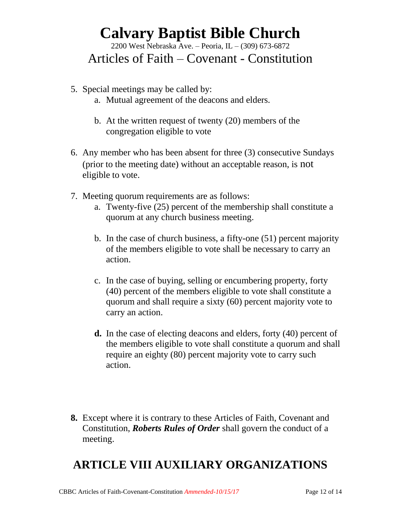2200 West Nebraska Ave. – Peoria, IL – (309) 673-6872

#### Articles of Faith – Covenant - Constitution

- 5. Special meetings may be called by:
	- a. Mutual agreement of the deacons and elders.
	- b. At the written request of twenty (20) members of the congregation eligible to vote
- 6. Any member who has been absent for three (3) consecutive Sundays (prior to the meeting date) without an acceptable reason, is not eligible to vote.
- 7. Meeting quorum requirements are as follows:
	- a. Twenty-five (25) percent of the membership shall constitute a quorum at any church business meeting.
	- b. In the case of church business, a fifty-one (51) percent majority of the members eligible to vote shall be necessary to carry an action.
	- c. In the case of buying, selling or encumbering property, forty (40) percent of the members eligible to vote shall constitute a quorum and shall require a sixty (60) percent majority vote to carry an action.
	- **d.** In the case of electing deacons and elders, forty (40) percent of the members eligible to vote shall constitute a quorum and shall require an eighty (80) percent majority vote to carry such action.
- **8.** Except where it is contrary to these Articles of Faith, Covenant and Constitution, *Roberts Rules of Order* shall govern the conduct of a meeting.

### **ARTICLE VIII AUXILIARY ORGANIZATIONS**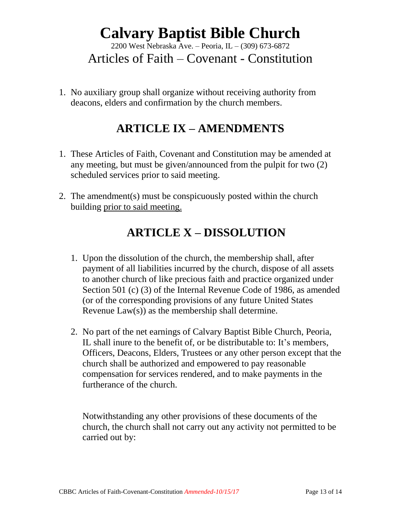2200 West Nebraska Ave. – Peoria, IL – (309) 673-6872

Articles of Faith – Covenant - Constitution

1. No auxiliary group shall organize without receiving authority from deacons, elders and confirmation by the church members.

### **ARTICLE IX – AMENDMENTS**

- 1. These Articles of Faith, Covenant and Constitution may be amended at any meeting, but must be given/announced from the pulpit for two (2) scheduled services prior to said meeting.
- 2. The amendment(s) must be conspicuously posted within the church building prior to said meeting.

### **ARTICLE X – DISSOLUTION**

- 1. Upon the dissolution of the church, the membership shall, after payment of all liabilities incurred by the church, dispose of all assets to another church of like precious faith and practice organized under Section 501 (c) (3) of the Internal Revenue Code of 1986, as amended (or of the corresponding provisions of any future United States Revenue Law(s)) as the membership shall determine.
- 2. No part of the net earnings of Calvary Baptist Bible Church, Peoria, IL shall inure to the benefit of, or be distributable to: It's members, Officers, Deacons, Elders, Trustees or any other person except that the church shall be authorized and empowered to pay reasonable compensation for services rendered, and to make payments in the furtherance of the church.

Notwithstanding any other provisions of these documents of the church, the church shall not carry out any activity not permitted to be carried out by: